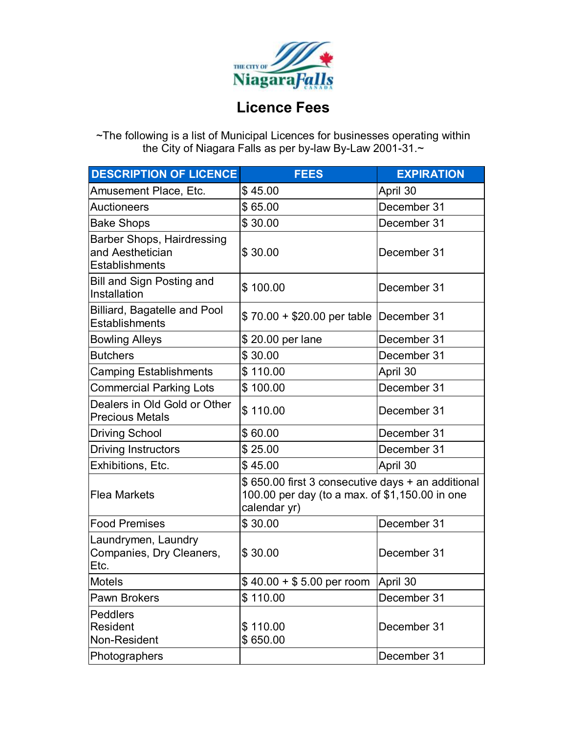

## **Licence Fees**

~The following is a list of Municipal Licences for businesses operating within the City of Niagara Falls as per by-law By-Law 2001-31.~

| <b>DESCRIPTION OF LICENCE</b>                                           | <b>FEES</b>                                                                                                         | <b>EXPIRATION</b> |
|-------------------------------------------------------------------------|---------------------------------------------------------------------------------------------------------------------|-------------------|
| Amusement Place, Etc.                                                   | \$45.00                                                                                                             | April 30          |
| Auctioneers                                                             | \$65.00                                                                                                             | December 31       |
| <b>Bake Shops</b>                                                       | \$30.00                                                                                                             | December 31       |
| Barber Shops, Hairdressing<br>and Aesthetician<br><b>Establishments</b> | \$30.00                                                                                                             | December 31       |
| Bill and Sign Posting and<br>Installation                               | \$100.00                                                                                                            | December 31       |
| Billiard, Bagatelle and Pool<br><b>Establishments</b>                   | \$70.00 + \$20.00 per table December 31                                                                             |                   |
| <b>Bowling Alleys</b>                                                   | \$20.00 per lane                                                                                                    | December 31       |
| <b>Butchers</b>                                                         | \$30.00                                                                                                             | December 31       |
| <b>Camping Establishments</b>                                           | \$110.00                                                                                                            | April 30          |
| <b>Commercial Parking Lots</b>                                          | \$100.00                                                                                                            | December 31       |
| Dealers in Old Gold or Other<br><b>Precious Metals</b>                  | \$110.00                                                                                                            | December 31       |
| <b>Driving School</b>                                                   | \$60.00                                                                                                             | December 31       |
| <b>Driving Instructors</b>                                              | \$25.00                                                                                                             | December 31       |
| Exhibitions, Etc.                                                       | \$45.00                                                                                                             | April 30          |
| <b>Flea Markets</b>                                                     | \$650.00 first 3 consecutive days + an additional<br>100.00 per day (to a max. of \$1,150.00 in one<br>calendar yr) |                   |
| <b>Food Premises</b>                                                    | \$30.00                                                                                                             | December 31       |
| Laundrymen, Laundry<br>Companies, Dry Cleaners,<br>Etc.                 | \$30.00                                                                                                             | December 31       |
| Motels                                                                  | $$40.00 + $5.00$ per room   April 30                                                                                |                   |
| Pawn Brokers                                                            | \$110.00                                                                                                            | December 31       |
| Peddlers<br>Resident<br>Non-Resident                                    | \$110.00<br>\$650.00                                                                                                | December 31       |
| Photographers                                                           |                                                                                                                     | December 31       |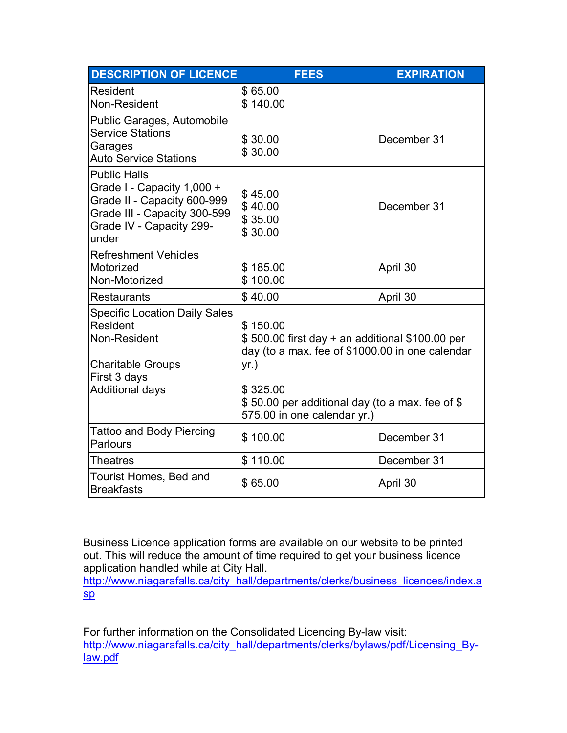| <b>DESCRIPTION OF LICENCE</b>                                                                                                                         | <b>FEES</b>                                                                                                                                                                                                          | <b>EXPIRATION</b> |
|-------------------------------------------------------------------------------------------------------------------------------------------------------|----------------------------------------------------------------------------------------------------------------------------------------------------------------------------------------------------------------------|-------------------|
| Resident<br>Non-Resident                                                                                                                              | \$65.00<br>\$140.00                                                                                                                                                                                                  |                   |
| Public Garages, Automobile<br><b>Service Stations</b><br>Garages<br><b>Auto Service Stations</b>                                                      | \$30.00<br>\$30.00                                                                                                                                                                                                   | December 31       |
| <b>Public Halls</b><br>Grade I - Capacity 1,000 +<br>Grade II - Capacity 600-999<br>Grade III - Capacity 300-599<br>Grade IV - Capacity 299-<br>under | \$45.00<br>\$40.00<br>\$35.00<br>\$30.00                                                                                                                                                                             | December 31       |
| <b>Refreshment Vehicles</b><br>Motorized<br>Non-Motorized                                                                                             | \$185.00<br>\$100.00                                                                                                                                                                                                 | April 30          |
| Restaurants                                                                                                                                           | \$40.00                                                                                                                                                                                                              | April 30          |
| <b>Specific Location Daily Sales</b><br>Resident<br>Non-Resident<br><b>Charitable Groups</b><br>First 3 days<br><b>Additional days</b>                | \$150.00<br>\$500.00 first day + an additional \$100.00 per<br>day (to a max. fee of \$1000.00 in one calendar<br>yr.)<br>\$325.00<br>\$50.00 per additional day (to a max. fee of \$<br>575.00 in one calendar yr.) |                   |
| <b>Tattoo and Body Piercing</b><br>Parlours                                                                                                           | \$100.00                                                                                                                                                                                                             | December 31       |
| <b>Theatres</b>                                                                                                                                       | \$110.00                                                                                                                                                                                                             | December 31       |
| Tourist Homes, Bed and<br><b>Breakfasts</b>                                                                                                           | \$65.00                                                                                                                                                                                                              | April 30          |

Business Licence application forms are available on our website to be printed out. This will reduce the amount of time required to get your business licence application handled while at City Hall.

http://www.niagarafalls.ca/city\_hall/departments/clerks/business\_licences/index.a sp

For further information on the Consolidated Licencing By-law visit: http://www.niagarafalls.ca/city\_hall/departments/clerks/bylaws/pdf/Licensing\_Bylaw.pdf